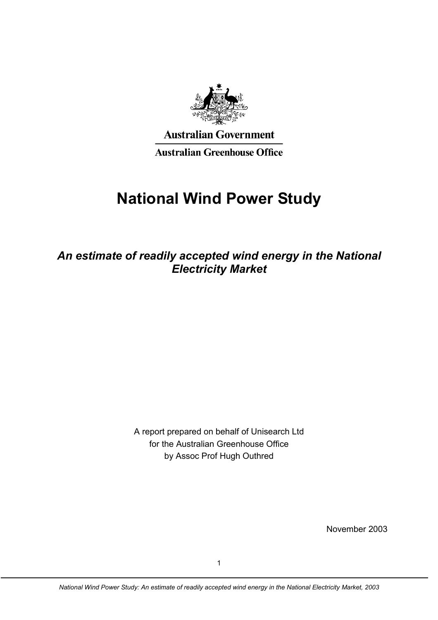

**Australian Government** 

**Australian Greenhouse Office** 

# **National Wind Power Study**

*An estimate of readily accepted wind energy in the National Electricity Market* 

> A report prepared on behalf of Unisearch Ltd for the Australian Greenhouse Office by Assoc Prof Hugh Outhred

> > November 2003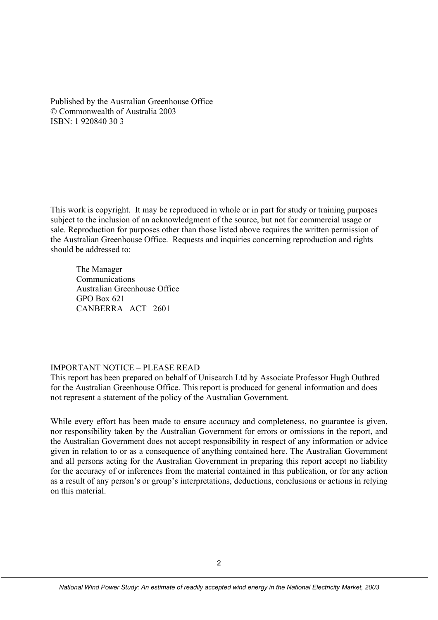Published by the Australian Greenhouse Office © Commonwealth of Australia 2003 ISBN: 1 920840 30 3

This work is copyright. It may be reproduced in whole or in part for study or training purposes subject to the inclusion of an acknowledgment of the source, but not for commercial usage or sale. Reproduction for purposes other than those listed above requires the written permission of the Australian Greenhouse Office. Requests and inquiries concerning reproduction and rights should be addressed to:

 The Manager Communications Australian Greenhouse Office GPO Box 621 CANBERRA ACT 2601

#### IMPORTANT NOTICE – PLEASE READ

This report has been prepared on behalf of Unisearch Ltd by Associate Professor Hugh Outhred for the Australian Greenhouse Office. This report is produced for general information and does not represent a statement of the policy of the Australian Government.

While every effort has been made to ensure accuracy and completeness, no guarantee is given, nor responsibility taken by the Australian Government for errors or omissions in the report, and the Australian Government does not accept responsibility in respect of any information or advice given in relation to or as a consequence of anything contained here. The Australian Government and all persons acting for the Australian Government in preparing this report accept no liability for the accuracy of or inferences from the material contained in this publication, or for any action as a result of any person's or group's interpretations, deductions, conclusions or actions in relying on this material.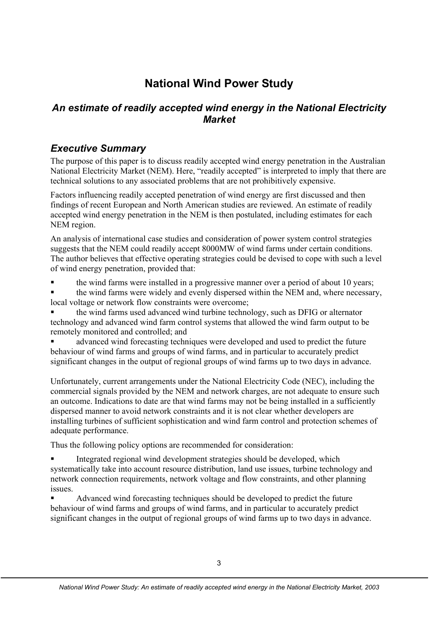# **National Wind Power Study**

# *An estimate of readily accepted wind energy in the National Electricity Market*

# *Executive Summary*

The purpose of this paper is to discuss readily accepted wind energy penetration in the Australian National Electricity Market (NEM). Here, "readily accepted" is interpreted to imply that there are technical solutions to any associated problems that are not prohibitively expensive.

Factors influencing readily accepted penetration of wind energy are first discussed and then findings of recent European and North American studies are reviewed. An estimate of readily accepted wind energy penetration in the NEM is then postulated, including estimates for each NEM region.

An analysis of international case studies and consideration of power system control strategies suggests that the NEM could readily accept 8000MW of wind farms under certain conditions. The author believes that effective operating strategies could be devised to cope with such a level of wind energy penetration, provided that:

the wind farms were installed in a progressive manner over a period of about 10 years;

 the wind farms were widely and evenly dispersed within the NEM and, where necessary, local voltage or network flow constraints were overcome;

 the wind farms used advanced wind turbine technology, such as DFIG or alternator technology and advanced wind farm control systems that allowed the wind farm output to be remotely monitored and controlled; and

 advanced wind forecasting techniques were developed and used to predict the future behaviour of wind farms and groups of wind farms, and in particular to accurately predict significant changes in the output of regional groups of wind farms up to two days in advance.

Unfortunately, current arrangements under the National Electricity Code (NEC), including the commercial signals provided by the NEM and network charges, are not adequate to ensure such an outcome. Indications to date are that wind farms may not be being installed in a sufficiently dispersed manner to avoid network constraints and it is not clear whether developers are installing turbines of sufficient sophistication and wind farm control and protection schemes of adequate performance.

Thus the following policy options are recommended for consideration:

 Integrated regional wind development strategies should be developed, which systematically take into account resource distribution, land use issues, turbine technology and network connection requirements, network voltage and flow constraints, and other planning issues.

 Advanced wind forecasting techniques should be developed to predict the future behaviour of wind farms and groups of wind farms, and in particular to accurately predict significant changes in the output of regional groups of wind farms up to two days in advance.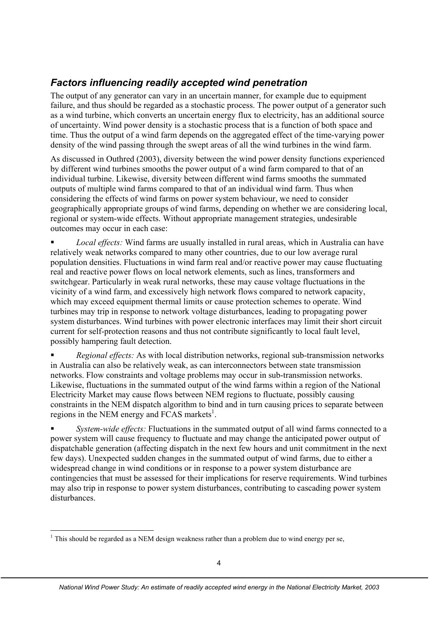# *Factors influencing readily accepted wind penetration*

The output of any generator can vary in an uncertain manner, for example due to equipment failure, and thus should be regarded as a stochastic process. The power output of a generator such as a wind turbine, which converts an uncertain energy flux to electricity, has an additional source of uncertainty. Wind power density is a stochastic process that is a function of both space and time. Thus the output of a wind farm depends on the aggregated effect of the time-varying power density of the wind passing through the swept areas of all the wind turbines in the wind farm.

As discussed in Outhred (2003), diversity between the wind power density functions experienced by different wind turbines smooths the power output of a wind farm compared to that of an individual turbine. Likewise, diversity between different wind farms smooths the summated outputs of multiple wind farms compared to that of an individual wind farm. Thus when considering the effects of wind farms on power system behaviour, we need to consider geographically appropriate groups of wind farms, depending on whether we are considering local, regional or system-wide effects. Without appropriate management strategies, undesirable outcomes may occur in each case:

 *Local effects:* Wind farms are usually installed in rural areas, which in Australia can have relatively weak networks compared to many other countries, due to our low average rural population densities. Fluctuations in wind farm real and/or reactive power may cause fluctuating real and reactive power flows on local network elements, such as lines, transformers and switchgear. Particularly in weak rural networks, these may cause voltage fluctuations in the vicinity of a wind farm, and excessively high network flows compared to network capacity, which may exceed equipment thermal limits or cause protection schemes to operate. Wind turbines may trip in response to network voltage disturbances, leading to propagating power system disturbances. Wind turbines with power electronic interfaces may limit their short circuit current for self-protection reasons and thus not contribute significantly to local fault level, possibly hampering fault detection.

 *Regional effects:* As with local distribution networks, regional sub-transmission networks in Australia can also be relatively weak, as can interconnectors between state transmission networks. Flow constraints and voltage problems may occur in sub-transmission networks. Likewise, fluctuations in the summated output of the wind farms within a region of the National Electricity Market may cause flows between NEM regions to fluctuate, possibly causing constraints in the NEM dispatch algorithm to bind and in turn causing prices to separate between regions in the NEM energy and FCAS markets<sup>1</sup>.

 *System-wide effects:* Fluctuations in the summated output of all wind farms connected to a power system will cause frequency to fluctuate and may change the anticipated power output of dispatchable generation (affecting dispatch in the next few hours and unit commitment in the next few days). Unexpected sudden changes in the summated output of wind farms, due to either a widespread change in wind conditions or in response to a power system disturbance are contingencies that must be assessed for their implications for reserve requirements. Wind turbines may also trip in response to power system disturbances, contributing to cascading power system disturbances.

<sup>-</sup> $1$  This should be regarded as a NEM design weakness rather than a problem due to wind energy per se,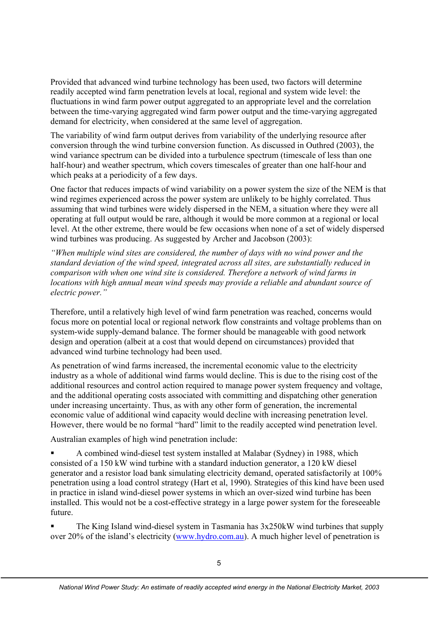Provided that advanced wind turbine technology has been used, two factors will determine readily accepted wind farm penetration levels at local, regional and system wide level: the fluctuations in wind farm power output aggregated to an appropriate level and the correlation between the time-varying aggregated wind farm power output and the time-varying aggregated demand for electricity, when considered at the same level of aggregation.

The variability of wind farm output derives from variability of the underlying resource after conversion through the wind turbine conversion function. As discussed in Outhred (2003), the wind variance spectrum can be divided into a turbulence spectrum (timescale of less than one half-hour) and weather spectrum, which covers timescales of greater than one half-hour and which peaks at a periodicity of a few days.

One factor that reduces impacts of wind variability on a power system the size of the NEM is that wind regimes experienced across the power system are unlikely to be highly correlated. Thus assuming that wind turbines were widely dispersed in the NEM, a situation where they were all operating at full output would be rare, although it would be more common at a regional or local level. At the other extreme, there would be few occasions when none of a set of widely dispersed wind turbines was producing. As suggested by Archer and Jacobson (2003):

*"When multiple wind sites are considered, the number of days with no wind power and the standard deviation of the wind speed, integrated across all sites, are substantially reduced in comparison with when one wind site is considered. Therefore a network of wind farms in locations with high annual mean wind speeds may provide a reliable and abundant source of electric power."* 

Therefore, until a relatively high level of wind farm penetration was reached, concerns would focus more on potential local or regional network flow constraints and voltage problems than on system-wide supply-demand balance. The former should be manageable with good network design and operation (albeit at a cost that would depend on circumstances) provided that advanced wind turbine technology had been used.

As penetration of wind farms increased, the incremental economic value to the electricity industry as a whole of additional wind farms would decline. This is due to the rising cost of the additional resources and control action required to manage power system frequency and voltage, and the additional operating costs associated with committing and dispatching other generation under increasing uncertainty. Thus, as with any other form of generation, the incremental economic value of additional wind capacity would decline with increasing penetration level. However, there would be no formal "hard" limit to the readily accepted wind penetration level.

Australian examples of high wind penetration include:

 A combined wind-diesel test system installed at Malabar (Sydney) in 1988, which consisted of a 150 kW wind turbine with a standard induction generator, a 120 kW diesel generator and a resistor load bank simulating electricity demand, operated satisfactorily at 100% penetration using a load control strategy (Hart et al, 1990). Strategies of this kind have been used in practice in island wind-diesel power systems in which an over-sized wind turbine has been installed. This would not be a cost-effective strategy in a large power system for the foreseeable future.

 The King Island wind-diesel system in Tasmania has 3x250kW wind turbines that supply over 20% of the island's electricity (www.hydro.com.au). A much higher level of penetration is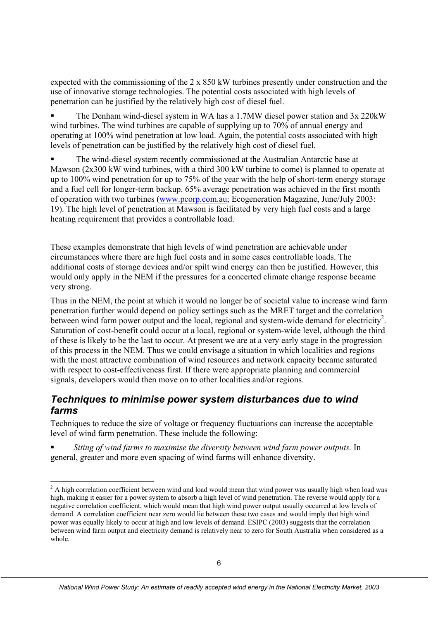expected with the commissioning of the 2 x 850 kW turbines presently under construction and the use of innovative storage technologies. The potential costs associated with high levels of penetration can be justified by the relatively high cost of diesel fuel.

 The Denham wind-diesel system in WA has a 1.7MW diesel power station and 3x 220kW wind turbines. The wind turbines are capable of supplying up to 70% of annual energy and operating at 100% wind penetration at low load. Again, the potential costs associated with high levels of penetration can be justified by the relatively high cost of diesel fuel.

 The wind-diesel system recently commissioned at the Australian Antarctic base at Mawson (2x300 kW wind turbines, with a third 300 kW turbine to come) is planned to operate at up to 100% wind penetration for up to 75% of the year with the help of short-term energy storage and a fuel cell for longer-term backup. 65% average penetration was achieved in the first month of operation with two turbines (www.pcorp.com.au; Ecogeneration Magazine, June/July 2003: 19). The high level of penetration at Mawson is facilitated by very high fuel costs and a large heating requirement that provides a controllable load.

These examples demonstrate that high levels of wind penetration are achievable under circumstances where there are high fuel costs and in some cases controllable loads. The additional costs of storage devices and/or spilt wind energy can then be justified. However, this would only apply in the NEM if the pressures for a concerted climate change response became very strong.

Thus in the NEM, the point at which it would no longer be of societal value to increase wind farm penetration further would depend on policy settings such as the MRET target and the correlation between wind farm power output and the local, regional and system-wide demand for electricity<sup>2</sup>. Saturation of cost-benefit could occur at a local, regional or system-wide level, although the third of these is likely to be the last to occur. At present we are at a very early stage in the progression of this process in the NEM. Thus we could envisage a situation in which localities and regions with the most attractive combination of wind resources and network capacity became saturated with respect to cost-effectiveness first. If there were appropriate planning and commercial signals, developers would then move on to other localities and/or regions.

#### *Techniques to minimise power system disturbances due to wind farms*

Techniques to reduce the size of voltage or frequency fluctuations can increase the acceptable level of wind farm penetration. These include the following:

 *Siting of wind farms to maximise the diversity between wind farm power outputs.* In general, greater and more even spacing of wind farms will enhance diversity.

 $\overline{a}$ 

 $2^2$  A high correlation coefficient between wind and load would mean that wind power was usually high when load was high, making it easier for a power system to absorb a high level of wind penetration. The reverse would apply for a negative correlation coefficient, which would mean that high wind power output usually occurred at low levels of demand. A correlation coefficient near zero would lie between these two cases and would imply that high wind power was equally likely to occur at high and low levels of demand. ESIPC (2003) suggests that the correlation between wind farm output and electricity demand is relatively near to zero for South Australia when considered as a whole.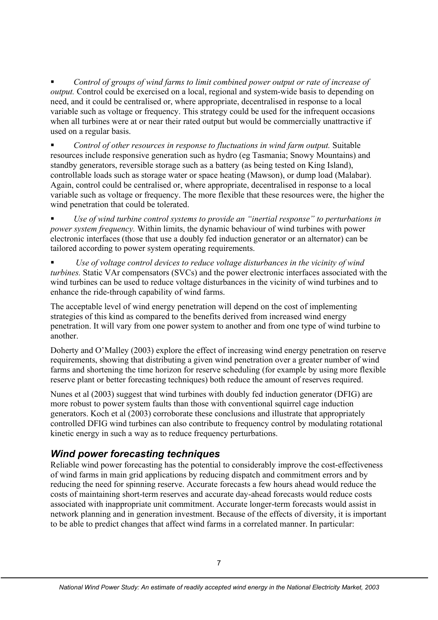*Control of groups of wind farms to limit combined power output or rate of increase of output.* Control could be exercised on a local, regional and system-wide basis to depending on need, and it could be centralised or, where appropriate, decentralised in response to a local variable such as voltage or frequency. This strategy could be used for the infrequent occasions when all turbines were at or near their rated output but would be commercially unattractive if used on a regular basis.

 *Control of other resources in response to fluctuations in wind farm output.* Suitable resources include responsive generation such as hydro (eg Tasmania; Snowy Mountains) and standby generators, reversible storage such as a battery (as being tested on King Island), controllable loads such as storage water or space heating (Mawson), or dump load (Malabar). Again, control could be centralised or, where appropriate, decentralised in response to a local variable such as voltage or frequency. The more flexible that these resources were, the higher the wind penetration that could be tolerated.

 *Use of wind turbine control systems to provide an "inertial response" to perturbations in power system frequency.* Within limits, the dynamic behaviour of wind turbines with power electronic interfaces (those that use a doubly fed induction generator or an alternator) can be tailored according to power system operating requirements.

 *Use of voltage control devices to reduce voltage disturbances in the vicinity of wind turbines.* Static VAr compensators (SVCs) and the power electronic interfaces associated with the wind turbines can be used to reduce voltage disturbances in the vicinity of wind turbines and to enhance the ride-through capability of wind farms.

The acceptable level of wind energy penetration will depend on the cost of implementing strategies of this kind as compared to the benefits derived from increased wind energy penetration. It will vary from one power system to another and from one type of wind turbine to another.

Doherty and O'Malley (2003) explore the effect of increasing wind energy penetration on reserve requirements, showing that distributing a given wind penetration over a greater number of wind farms and shortening the time horizon for reserve scheduling (for example by using more flexible reserve plant or better forecasting techniques) both reduce the amount of reserves required.

Nunes et al (2003) suggest that wind turbines with doubly fed induction generator (DFIG) are more robust to power system faults than those with conventional squirrel cage induction generators. Koch et al (2003) corroborate these conclusions and illustrate that appropriately controlled DFIG wind turbines can also contribute to frequency control by modulating rotational kinetic energy in such a way as to reduce frequency perturbations.

# *Wind power forecasting techniques*

Reliable wind power forecasting has the potential to considerably improve the cost-effectiveness of wind farms in main grid applications by reducing dispatch and commitment errors and by reducing the need for spinning reserve. Accurate forecasts a few hours ahead would reduce the costs of maintaining short-term reserves and accurate day-ahead forecasts would reduce costs associated with inappropriate unit commitment. Accurate longer-term forecasts would assist in network planning and in generation investment. Because of the effects of diversity, it is important to be able to predict changes that affect wind farms in a correlated manner. In particular: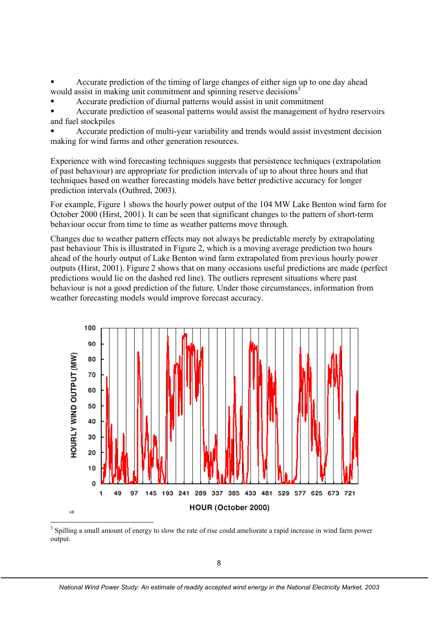Accurate prediction of the timing of large changes of either sign up to one day ahead would assist in making unit commitment and spinning reserve decisions<sup>3</sup>

Accurate prediction of diurnal patterns would assist in unit commitment

 Accurate prediction of seasonal patterns would assist the management of hydro reservoirs and fuel stockpiles

 Accurate prediction of multi-year variability and trends would assist investment decision making for wind farms and other generation resources.

Experience with wind forecasting techniques suggests that persistence techniques (extrapolation of past behaviour) are appropriate for prediction intervals of up to about three hours and that techniques based on weather forecasting models have better predictive accuracy for longer prediction intervals (Outhred, 2003).

For example, Figure 1 shows the hourly power output of the 104 MW Lake Benton wind farm for October 2000 (Hirst, 2001). It can be seen that significant changes to the pattern of short-term behaviour occur from time to time as weather patterns move through.

Changes due to weather pattern effects may not always be predictable merely by extrapolating past behaviour This is illustrated in Figure 2, which is a moving average prediction two hours ahead of the hourly output of Lake Benton wind farm extrapolated from previous hourly power outputs (Hirst, 2001). Figure 2 shows that on many occasions useful predictions are made (perfect predictions would lie on the dashed red line). The outliers represent situations where past behaviour is not a good prediction of the future. Under those circumstances, information from weather forecasting models would improve forecast accuracy.



output.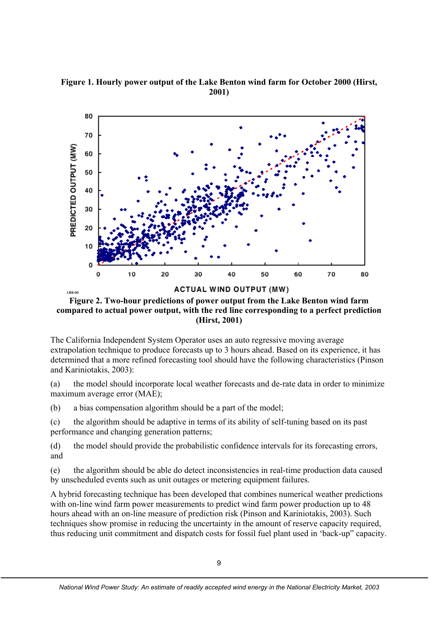**Figure 1. Hourly power output of the Lake Benton wind farm for October 2000 (Hirst, 2001)** 



**Figure 2. Two-hour predictions of power output from the Lake Benton wind farm compared to actual power output, with the red line corresponding to a perfect prediction (Hirst, 2001)** 

The California Independent System Operator uses an auto regressive moving average extrapolation technique to produce forecasts up to 3 hours ahead. Based on its experience, it has determined that a more refined forecasting tool should have the following characteristics (Pinson and Kariniotakis, 2003):

(a) the model should incorporate local weather forecasts and de-rate data in order to minimize maximum average error (MAE);

(b) a bias compensation algorithm should be a part of the model;

(c) the algorithm should be adaptive in terms of its ability of self-tuning based on its past performance and changing generation patterns;

(d) the model should provide the probabilistic confidence intervals for its forecasting errors, and

(e) the algorithm should be able do detect inconsistencies in real-time production data caused by unscheduled events such as unit outages or metering equipment failures.

A hybrid forecasting technique has been developed that combines numerical weather predictions with on-line wind farm power measurements to predict wind farm power production up to 48 hours ahead with an on-line measure of prediction risk (Pinson and Kariniotakis, 2003). Such techniques show promise in reducing the uncertainty in the amount of reserve capacity required, thus reducing unit commitment and dispatch costs for fossil fuel plant used in 'back-up" capacity.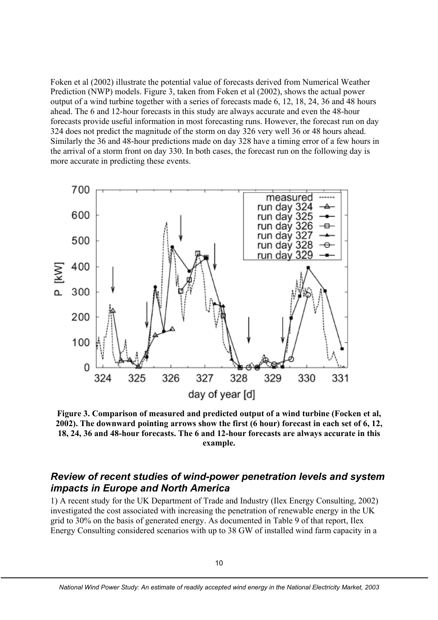Foken et al (2002) illustrate the potential value of forecasts derived from Numerical Weather Prediction (NWP) models. Figure 3, taken from Foken et al (2002), shows the actual power output of a wind turbine together with a series of forecasts made 6, 12, 18, 24, 36 and 48 hours ahead. The 6 and 12-hour forecasts in this study are always accurate and even the 48-hour forecasts provide useful information in most forecasting runs. However, the forecast run on day 324 does not predict the magnitude of the storm on day 326 very well 36 or 48 hours ahead. Similarly the 36 and 48-hour predictions made on day 328 have a timing error of a few hours in the arrival of a storm front on day 330. In both cases, the forecast run on the following day is more accurate in predicting these events.



**Figure 3. Comparison of measured and predicted output of a wind turbine (Focken et al, 2002). The downward pointing arrows show the first (6 hour) forecast in each set of 6, 12, 18, 24, 36 and 48-hour forecasts. The 6 and 12-hour forecasts are always accurate in this example.** 

#### *Review of recent studies of wind-power penetration levels and system impacts in Europe and North America*

1) A recent study for the UK Department of Trade and Industry (Ilex Energy Consulting, 2002) investigated the cost associated with increasing the penetration of renewable energy in the UK grid to 30% on the basis of generated energy. As documented in Table 9 of that report, Ilex Energy Consulting considered scenarios with up to 38 GW of installed wind farm capacity in a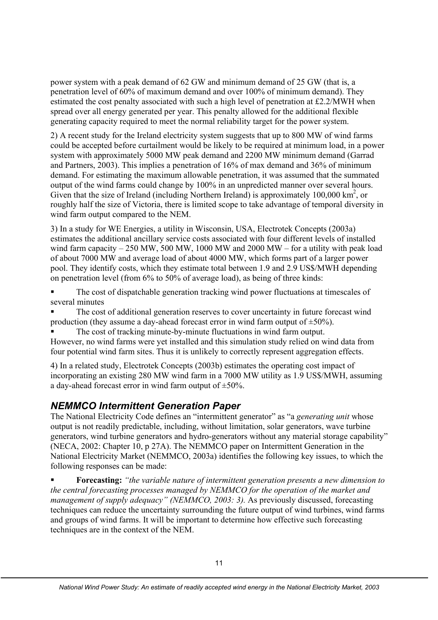power system with a peak demand of 62 GW and minimum demand of 25 GW (that is, a penetration level of 60% of maximum demand and over 100% of minimum demand). They estimated the cost penalty associated with such a high level of penetration at £2.2/MWH when spread over all energy generated per year. This penalty allowed for the additional flexible generating capacity required to meet the normal reliability target for the power system.

2) A recent study for the Ireland electricity system suggests that up to 800 MW of wind farms could be accepted before curtailment would be likely to be required at minimum load, in a power system with approximately 5000 MW peak demand and 2200 MW minimum demand (Garrad and Partners, 2003). This implies a penetration of 16% of max demand and 36% of minimum demand. For estimating the maximum allowable penetration, it was assumed that the summated output of the wind farms could change by 100% in an unpredicted manner over several hours. Given that the size of Ireland (including Northern Ireland) is approximately  $100,000 \text{ km}^2$ , or roughly half the size of Victoria, there is limited scope to take advantage of temporal diversity in wind farm output compared to the NEM.

3) In a study for WE Energies, a utility in Wisconsin, USA, Electrotek Concepts (2003a) estimates the additional ancillary service costs associated with four different levels of installed wind farm capacity  $-250$  MW, 500 MW, 1000 MW and 2000 MW – for a utility with peak load of about 7000 MW and average load of about 4000 MW, which forms part of a larger power pool. They identify costs, which they estimate total between 1.9 and 2.9 US\$/MWH depending on penetration level (from 6% to 50% of average load), as being of three kinds:

- The cost of dispatchable generation tracking wind power fluctuations at timescales of several minutes
- The cost of additional generation reserves to cover uncertainty in future forecast wind production (they assume a day-ahead forecast error in wind farm output of  $\pm 50\%$ ).

 The cost of tracking minute-by-minute fluctuations in wind farm output. However, no wind farms were yet installed and this simulation study relied on wind data from four potential wind farm sites. Thus it is unlikely to correctly represent aggregation effects.

4) In a related study, Electrotek Concepts (2003b) estimates the operating cost impact of incorporating an existing 280 MW wind farm in a 7000 MW utility as 1.9 US\$/MWH, assuming a day-ahead forecast error in wind farm output of  $\pm 50\%$ .

# *NEMMCO Intermittent Generation Paper*

The National Electricity Code defines an "intermittent generator" as "a *generating unit* whose output is not readily predictable, including, without limitation, solar generators, wave turbine generators, wind turbine generators and hydro-generators without any material storage capability" (NECA, 2002: Chapter 10, p 27A). The NEMMCO paper on Intermittent Generation in the National Electricity Market (NEMMCO, 2003a) identifies the following key issues, to which the following responses can be made:

 **Forecasting:** *"the variable nature of intermittent generation presents a new dimension to the central forecasting processes managed by NEMMCO for the operation of the market and*  management of supply adequacy" (NEMMCO, 2003: 3). As previously discussed, forecasting techniques can reduce the uncertainty surrounding the future output of wind turbines, wind farms and groups of wind farms. It will be important to determine how effective such forecasting techniques are in the context of the NEM.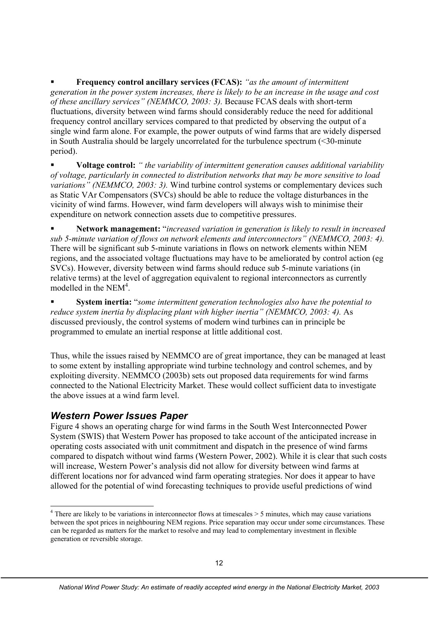**Frequency control ancillary services (FCAS):** *"as the amount of intermittent generation in the power system increases, there is likely to be an increase in the usage and cost of these ancillary services" (NEMMCO, 2003: 3).* Because FCAS deals with short-term fluctuations, diversity between wind farms should considerably reduce the need for additional frequency control ancillary services compared to that predicted by observing the output of a single wind farm alone. For example, the power outputs of wind farms that are widely dispersed in South Australia should be largely uncorrelated for the turbulence spectrum (<30-minute period).

 **Voltage control:** *" the variability of intermittent generation causes additional variability of voltage, particularly in connected to distribution networks that may be more sensitive to load variations" (NEMMCO, 2003: 3).* Wind turbine control systems or complementary devices such as Static VAr Compensators (SVCs) should be able to reduce the voltage disturbances in the vicinity of wind farms. However, wind farm developers will always wish to minimise their expenditure on network connection assets due to competitive pressures.

 **Network management:** "*increased variation in generation is likely to result in increased sub 5-minute variation of flows on network elements and interconnectors" (NEMMCO, 2003: 4).*  There will be significant sub 5-minute variations in flows on network elements within NEM regions, and the associated voltage fluctuations may have to be ameliorated by control action (eg SVCs). However, diversity between wind farms should reduce sub 5-minute variations (in relative terms) at the level of aggregation equivalent to regional interconnectors as currently modelled in the NEM<sup>4</sup>.

 **System inertia:** "*some intermittent generation technologies also have the potential to reduce system inertia by displacing plant with higher inertia" (NEMMCO, 2003: 4).* As discussed previously, the control systems of modern wind turbines can in principle be programmed to emulate an inertial response at little additional cost.

Thus, while the issues raised by NEMMCO are of great importance, they can be managed at least to some extent by installing appropriate wind turbine technology and control schemes, and by exploiting diversity. NEMMCO (2003b) sets out proposed data requirements for wind farms connected to the National Electricity Market. These would collect sufficient data to investigate the above issues at a wind farm level.

#### *Western Power Issues Paper*

-

Figure 4 shows an operating charge for wind farms in the South West Interconnected Power System (SWIS) that Western Power has proposed to take account of the anticipated increase in operating costs associated with unit commitment and dispatch in the presence of wind farms compared to dispatch without wind farms (Western Power, 2002). While it is clear that such costs will increase, Western Power's analysis did not allow for diversity between wind farms at different locations nor for advanced wind farm operating strategies. Nor does it appear to have allowed for the potential of wind forecasting techniques to provide useful predictions of wind

 $4$  There are likely to be variations in interconnector flows at timescales  $> 5$  minutes, which may cause variations between the spot prices in neighbouring NEM regions. Price separation may occur under some circumstances. These can be regarded as matters for the market to resolve and may lead to complementary investment in flexible generation or reversible storage.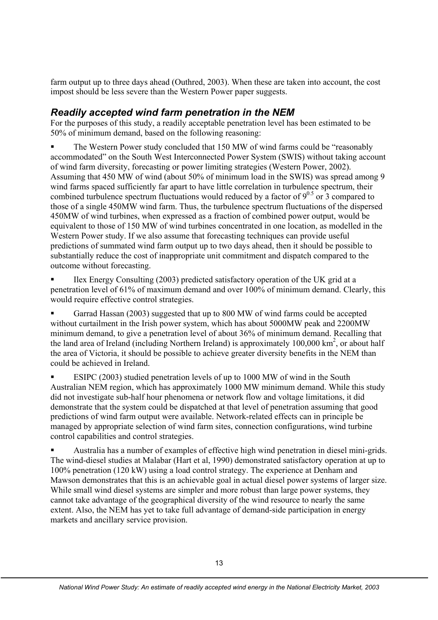farm output up to three days ahead (Outhred, 2003). When these are taken into account, the cost impost should be less severe than the Western Power paper suggests.

### *Readily accepted wind farm penetration in the NEM*

For the purposes of this study, a readily acceptable penetration level has been estimated to be 50% of minimum demand, based on the following reasoning:

 The Western Power study concluded that 150 MW of wind farms could be "reasonably accommodated" on the South West Interconnected Power System (SWIS) without taking account of wind farm diversity, forecasting or power limiting strategies (Western Power, 2002). Assuming that 450 MW of wind (about 50% of minimum load in the SWIS) was spread among 9 wind farms spaced sufficiently far apart to have little correlation in turbulence spectrum, their combined turbulence spectrum fluctuations would reduced by a factor of  $9^{0.5}$  or 3 compared to those of a single 450MW wind farm. Thus, the turbulence spectrum fluctuations of the dispersed 450MW of wind turbines, when expressed as a fraction of combined power output, would be equivalent to those of 150 MW of wind turbines concentrated in one location, as modelled in the Western Power study. If we also assume that forecasting techniques can provide useful predictions of summated wind farm output up to two days ahead, then it should be possible to substantially reduce the cost of inappropriate unit commitment and dispatch compared to the outcome without forecasting.

 Ilex Energy Consulting (2003) predicted satisfactory operation of the UK grid at a penetration level of 61% of maximum demand and over 100% of minimum demand. Clearly, this would require effective control strategies.

 Garrad Hassan (2003) suggested that up to 800 MW of wind farms could be accepted without curtailment in the Irish power system, which has about 5000MW peak and 2200MW minimum demand, to give a penetration level of about 36% of minimum demand. Recalling that the land area of Ireland (including Northern Ireland) is approximately  $100,000 \text{ km}^2$ , or about half the area of Victoria, it should be possible to achieve greater diversity benefits in the NEM than could be achieved in Ireland.

 ESIPC (2003) studied penetration levels of up to 1000 MW of wind in the South Australian NEM region, which has approximately 1000 MW minimum demand. While this study did not investigate sub-half hour phenomena or network flow and voltage limitations, it did demonstrate that the system could be dispatched at that level of penetration assuming that good predictions of wind farm output were available. Network-related effects can in principle be managed by appropriate selection of wind farm sites, connection configurations, wind turbine control capabilities and control strategies.

 Australia has a number of examples of effective high wind penetration in diesel mini-grids. The wind-diesel studies at Malabar (Hart et al, 1990) demonstrated satisfactory operation at up to 100% penetration (120 kW) using a load control strategy. The experience at Denham and Mawson demonstrates that this is an achievable goal in actual diesel power systems of larger size. While small wind diesel systems are simpler and more robust than large power systems, they cannot take advantage of the geographical diversity of the wind resource to nearly the same extent. Also, the NEM has yet to take full advantage of demand-side participation in energy markets and ancillary service provision.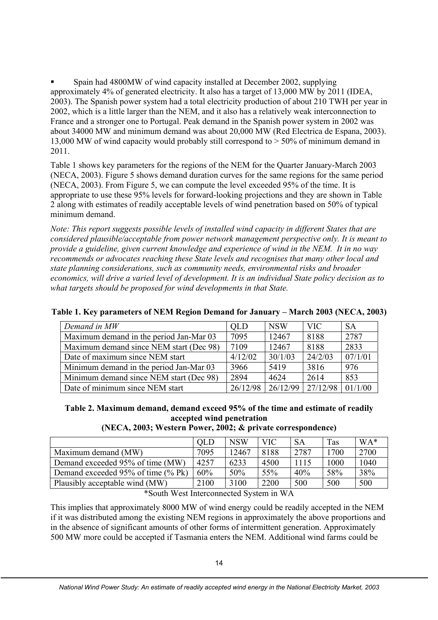Spain had 4800MW of wind capacity installed at December 2002, supplying approximately 4% of generated electricity. It also has a target of 13,000 MW by 2011 (IDEA, 2003). The Spanish power system had a total electricity production of about 210 TWH per year in 2002, which is a little larger than the NEM, and it also has a relatively weak interconnection to France and a stronger one to Portugal. Peak demand in the Spanish power system in 2002 was about 34000 MW and minimum demand was about 20,000 MW (Red Electrica de Espana, 2003). 13,000 MW of wind capacity would probably still correspond to > 50% of minimum demand in 2011.

Table 1 shows key parameters for the regions of the NEM for the Quarter January-March 2003 (NECA, 2003). Figure 5 shows demand duration curves for the same regions for the same period (NECA, 2003). From Figure 5, we can compute the level exceeded 95% of the time. It is appropriate to use these 95% levels for forward-looking projections and they are shown in Table 2 along with estimates of readily acceptable levels of wind penetration based on 50% of typical minimum demand.

*Note: This report suggests possible levels of installed wind capacity in different States that are considered plausible/acceptable from power network management perspective only. It is meant to provide a guideline, given current knowledge and experience of wind in the NEM. It in no way recommends or advocates reaching these State levels and recognises that many other local and state planning considerations, such as community needs, environmental risks and broader economics, will drive a varied level of development. It is an individual State policy decision as to what targets should be proposed for wind developments in that State.* 

| Demand in MW                            | OLD      | <b>NSW</b> | VIC.     | <b>SA</b> |
|-----------------------------------------|----------|------------|----------|-----------|
| Maximum demand in the period Jan-Mar 03 | 7095     | 12467      | 8188     | 2787      |
| Maximum demand since NEM start (Dec 98) | 7109     | 12467      | 8188     | 2833      |
| Date of maximum since NEM start         | 4/12/02  | 30/1/03    | 24/2/03  | 07/1/01   |
| Minimum demand in the period Jan-Mar 03 | 3966     | 5419       | 3816     | 976       |
| Minimum demand since NEM start (Dec 98) | 2894     | 4624       | 2614     | 853       |
| Date of minimum since NEM start         | 26/12/98 | 26/12/99   | 27/12/98 | 01/1/00   |

**Table 1. Key parameters of NEM Region Demand for January – March 2003 (NECA, 2003)** 

**Table 2. Maximum demand, demand exceed 95% of the time and estimate of readily accepted wind penetration** 

|  |  |  |  | (NECA, 2003; Western Power, 2002; & private correspondence) |  |
|--|--|--|--|-------------------------------------------------------------|--|
|  |  |  |  |                                                             |  |
|  |  |  |  |                                                             |  |

|                                    | OLD  | <b>NSW</b> | VIC  | <b>SA</b> | Tas  | WA*  |
|------------------------------------|------|------------|------|-----------|------|------|
| Maximum demand (MW)                | 7095 | 12467      | 8188 | 2787      | 1700 | 2700 |
| Demand exceeded 95% of time (MW)   | 4257 | 6233       | 4500 | 1115      | 1000 | 1040 |
| Demand exceeded 95% of time (% Pk) | 60%  | 50%        | 55%  | 40%       | 58%  | 38%  |
| Plausibly acceptable wind (MW)     | 2100 | 3100       | 2200 | 500       | 500  | 500  |

\*South West Interconnected System in WA

This implies that approximately 8000 MW of wind energy could be readily accepted in the NEM if it was distributed among the existing NEM regions in approximately the above proportions and in the absence of significant amounts of other forms of intermittent generation. Approximately 500 MW more could be accepted if Tasmania enters the NEM. Additional wind farms could be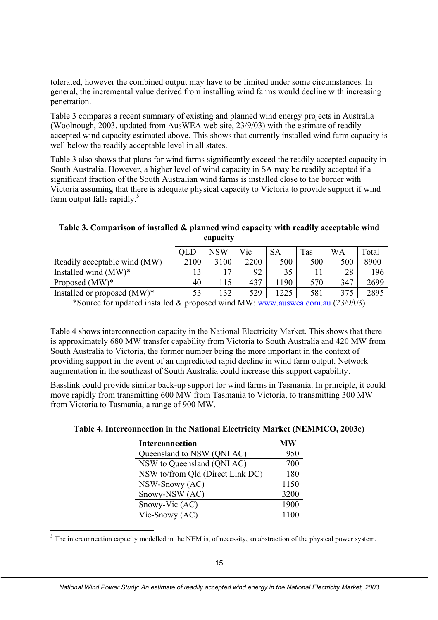tolerated, however the combined output may have to be limited under some circumstances. In general, the incremental value derived from installing wind farms would decline with increasing penetration.

Table 3 compares a recent summary of existing and planned wind energy projects in Australia (Woolnough, 2003, updated from AusWEA web site, 23/9/03) with the estimate of readily accepted wind capacity estimated above. This shows that currently installed wind farm capacity is well below the readily acceptable level in all states.

Table 3 also shows that plans for wind farms significantly exceed the readily accepted capacity in South Australia. However, a higher level of wind capacity in SA may be readily accepted if a significant fraction of the South Australian wind farms is installed close to the border with Victoria assuming that there is adequate physical capacity to Victoria to provide support if wind farm output falls rapidly.<sup>5</sup>

**Table 3. Comparison of installed & planned wind capacity with readily acceptable wind capacity** 

|                                |      | NSW  | Vic  | <b>SA</b> | Tas | <b>WA</b> | Total |
|--------------------------------|------|------|------|-----------|-----|-----------|-------|
| Readily acceptable wind (MW)   | 2100 | 3100 | 2200 | 500       | 500 | 500       | 8900  |
| Installed wind $(MW)^*$        |      |      | 92   | 35        |     | 28        | 196   |
| Proposed $(MW)^*$              | 40   |      | 437  | .90       | 570 | 347       | 2699  |
| Installed or proposed $(MW)^*$ | 53   | 132  | 529  | 225       | 581 | 375       | 2895  |

\*Source for updated installed & proposed wind MW: www.auswea.com.au (23/9/03)

Table 4 shows interconnection capacity in the National Electricity Market. This shows that there is approximately 680 MW transfer capability from Victoria to South Australia and 420 MW from South Australia to Victoria, the former number being the more important in the context of providing support in the event of an unpredicted rapid decline in wind farm output. Network augmentation in the southeast of South Australia could increase this support capability.

Basslink could provide similar back-up support for wind farms in Tasmania. In principle, it could move rapidly from transmitting 600 MW from Tasmania to Victoria, to transmitting 300 MW from Victoria to Tasmania, a range of 900 MW.

| <b>Interconnection</b>           | <b>MW</b> |
|----------------------------------|-----------|
| Queensland to NSW (QNI AC)       | 950       |
| NSW to Queensland (QNI AC)       | 700       |
| NSW to/from Qld (Direct Link DC) | 180       |
| NSW-Snowy (AC)                   | 1150      |
| Snowy-NSW (AC)                   | 3200      |
| Snowy-Vic (AC)                   | 1900      |
| Vic-Snowy (AC)                   | 1100      |

 $<sup>5</sup>$  The interconnection capacity modelled in the NEM is, of necessity, an abstraction of the physical power system.</sup>

-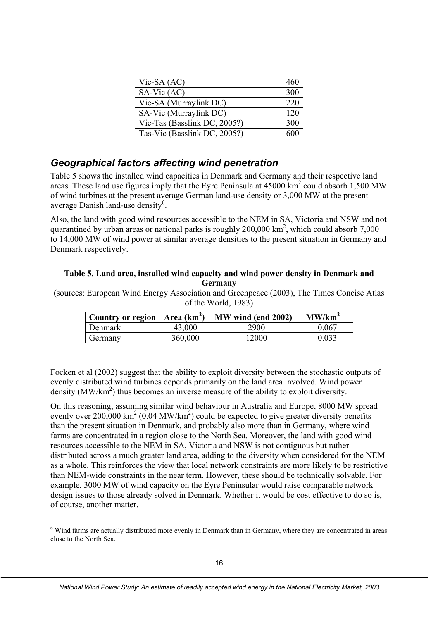| $Vic-SA (AC)$                | 460 |
|------------------------------|-----|
| $SA-Vic(AC)$                 | 300 |
| Vic-SA (Murraylink DC)       | 220 |
| SA-Vic (Murraylink DC)       | 120 |
| Vic-Tas (Basslink DC, 2005?) | 300 |
| Tas-Vic (Basslink DC, 2005?) |     |

# *Geographical factors affecting wind penetration*

Table 5 shows the installed wind capacities in Denmark and Germany and their respective land areas. These land use figures imply that the Eyre Peninsula at  $45000 \text{ km}^2$  could absorb 1,500 MW of wind turbines at the present average German land-use density or 3,000 MW at the present average Danish land-use density<sup>6</sup>.

Also, the land with good wind resources accessible to the NEM in SA, Victoria and NSW and not quarantined by urban areas or national parks is roughly  $200,000 \text{ km}^2$ , which could absorb 7,000 to 14,000 MW of wind power at similar average densities to the present situation in Germany and Denmark respectively.

#### **Table 5. Land area, installed wind capacity and wind power density in Denmark and Germany**

(sources: European Wind Energy Association and Greenpeace (2003), The Times Concise Atlas of the World, 1983)

| Country or region   Area $(km^2)$ |         | MW wind (end 2002) | $1$ MW/km <sup>2</sup> |
|-----------------------------------|---------|--------------------|------------------------|
| Denmark                           | 43,000  | 2900               | 0.067                  |
| Germany                           | 360,000 | 12000              | 0.033                  |

Focken et al (2002) suggest that the ability to exploit diversity between the stochastic outputs of evenly distributed wind turbines depends primarily on the land area involved. Wind power density (MW/km<sup>2</sup>) thus becomes an inverse measure of the ability to exploit diversity.

On this reasoning, assuming similar wind behaviour in Australia and Europe, 8000 MW spread evenly over 200,000 km<sup>2</sup> (0.04 MW/km<sup>2</sup>) could be expected to give greater diversity benefits than the present situation in Denmark, and probably also more than in Germany, where wind farms are concentrated in a region close to the North Sea. Moreover, the land with good wind resources accessible to the NEM in SA, Victoria and NSW is not contiguous but rather distributed across a much greater land area, adding to the diversity when considered for the NEM as a whole. This reinforces the view that local network constraints are more likely to be restrictive than NEM-wide constraints in the near term. However, these should be technically solvable. For example, 3000 MW of wind capacity on the Eyre Peninsular would raise comparable network design issues to those already solved in Denmark. Whether it would be cost effective to do so is, of course, another matter.

<sup>&</sup>lt;sup>6</sup> Wind farms are actually distributed more evenly in Denmark than in Germany, where they are concentrated in areas close to the North Sea.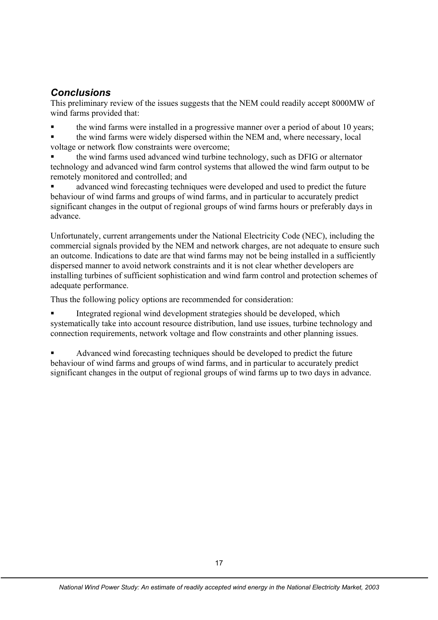## *Conclusions*

This preliminary review of the issues suggests that the NEM could readily accept 8000MW of wind farms provided that:

the wind farms were installed in a progressive manner over a period of about 10 years;

 the wind farms were widely dispersed within the NEM and, where necessary, local voltage or network flow constraints were overcome;

 the wind farms used advanced wind turbine technology, such as DFIG or alternator technology and advanced wind farm control systems that allowed the wind farm output to be remotely monitored and controlled; and

 advanced wind forecasting techniques were developed and used to predict the future behaviour of wind farms and groups of wind farms, and in particular to accurately predict significant changes in the output of regional groups of wind farms hours or preferably days in advance.

Unfortunately, current arrangements under the National Electricity Code (NEC), including the commercial signals provided by the NEM and network charges, are not adequate to ensure such an outcome. Indications to date are that wind farms may not be being installed in a sufficiently dispersed manner to avoid network constraints and it is not clear whether developers are installing turbines of sufficient sophistication and wind farm control and protection schemes of adequate performance.

Thus the following policy options are recommended for consideration:

 Integrated regional wind development strategies should be developed, which systematically take into account resource distribution, land use issues, turbine technology and connection requirements, network voltage and flow constraints and other planning issues.

 Advanced wind forecasting techniques should be developed to predict the future behaviour of wind farms and groups of wind farms, and in particular to accurately predict significant changes in the output of regional groups of wind farms up to two days in advance.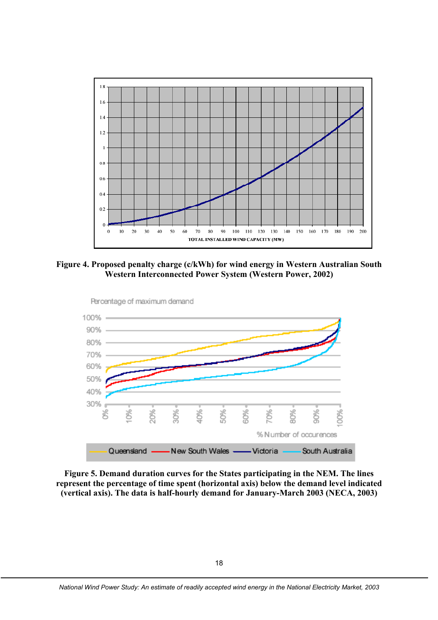

**Figure 4. Proposed penalty charge (c/kWh) for wind energy in Western Australian South Western Interconnected Power System (Western Power, 2002)** 



**Figure 5. Demand duration curves for the States participating in the NEM. The lines represent the percentage of time spent (horizontal axis) below the demand level indicated (vertical axis). The data is half-hourly demand for January-March 2003 (NECA, 2003)**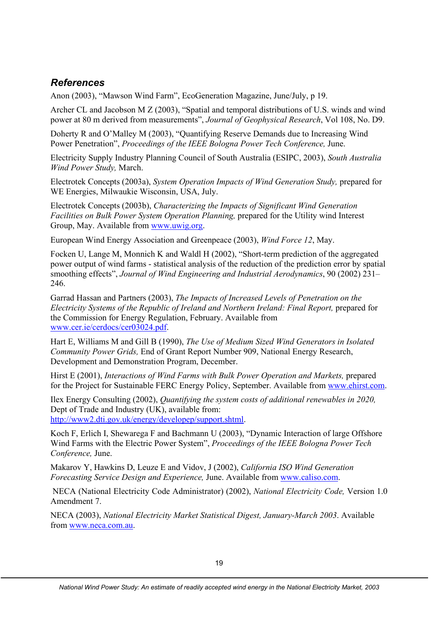# *References*

Anon (2003), "Mawson Wind Farm", EcoGeneration Magazine, June/July, p 19.

Archer CL and Jacobson M Z (2003), "Spatial and temporal distributions of U.S. winds and wind power at 80 m derived from measurements", *Journal of Geophysical Research*, Vol 108, No. D9.

Doherty R and O'Malley M (2003), "Quantifying Reserve Demands due to Increasing Wind Power Penetration", *Proceedings of the IEEE Bologna Power Tech Conference,* June.

Electricity Supply Industry Planning Council of South Australia (ESIPC, 2003), *South Australia Wind Power Study,* March.

Electrotek Concepts (2003a), *System Operation Impacts of Wind Generation Study,* prepared for WE Energies, Milwaukie Wisconsin, USA, July.

Electrotek Concepts (2003b), *Characterizing the Impacts of Significant Wind Generation Facilities on Bulk Power System Operation Planning,* prepared for the Utility wind Interest Group, May. Available from www.uwig.org.

European Wind Energy Association and Greenpeace (2003), *Wind Force 12*, May.

Focken U, Lange M, Monnich K and Waldl H (2002), "Short-term prediction of the aggregated power output of wind farms - statistical analysis of the reduction of the prediction error by spatial smoothing effects", *Journal of Wind Engineering and Industrial Aerodynamics*, 90 (2002) 231– 246.

Garrad Hassan and Partners (2003), *The Impacts of Increased Levels of Penetration on the Electricity Systems of the Republic of Ireland and Northern Ireland: Final Report,* prepared for the Commission for Energy Regulation, February. Available from www.cer.ie/cerdocs/cer03024.pdf.

Hart E, Williams M and Gill B (1990), *The Use of Medium Sized Wind Generators in Isolated Community Power Grids,* End of Grant Report Number 909, National Energy Research, Development and Demonstration Program, December.

Hirst E (2001), *Interactions of Wind Farms with Bulk Power Operation and Markets,* prepared for the Project for Sustainable FERC Energy Policy, September. Available from www.ehirst.com.

Ilex Energy Consulting (2002), *Quantifying the system costs of additional renewables in 2020,* Dept of Trade and Industry (UK), available from: http://www2.dti.gov.uk/energy/developep/support.shtml.

Koch F, Erlich I, Shewarega F and Bachmann U (2003), "Dynamic Interaction of large Offshore Wind Farms with the Electric Power System", *Proceedings of the IEEE Bologna Power Tech Conference,* June.

Makarov Y, Hawkins D, Leuze E and Vidov, J (2002), *California ISO Wind Generation Forecasting Service Design and Experience,* June. Available from www.caliso.com.

 NECA (National Electricity Code Administrator) (2002), *National Electricity Code,* Version 1.0 Amendment 7.

NECA (2003), *National Electricity Market Statistical Digest, January-March 2003*. Available from www.neca.com.au.